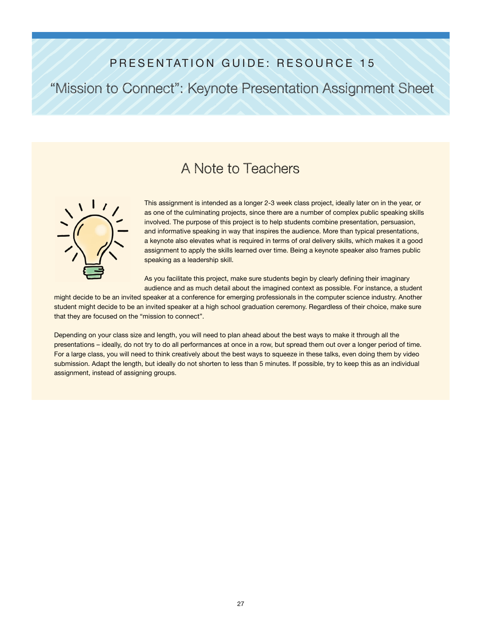### PRESENTATION GUIDE: RESOURCE 15

"Mission to Connect": Keynote Presentation Assignment Sheet

## A Note to Teachers



This assignment is intended as a longer 2-3 week class project, ideally later on in the year, or as one of the culminating projects, since there are a number of complex public speaking skills involved. The purpose of this project is to help students combine presentation, persuasion, and informative speaking in way that inspires the audience. More than typical presentations, a keynote also elevates what is required in terms of oral delivery skills, which makes it a good assignment to apply the skills learned over time. Being a keynote speaker also frames public speaking as a leadership skill.

As you facilitate this project, make sure students begin by clearly defining their imaginary audience and as much detail about the imagined context as possible. For instance, a student

might decide to be an invited speaker at a conference for emerging professionals in the computer science industry. Another student might decide to be an invited speaker at a high school graduation ceremony. Regardless of their choice, make sure that they are focused on the "mission to connect".

Depending on your class size and length, you will need to plan ahead about the best ways to make it through all the presentations – ideally, do not try to do all performances at once in a row, but spread them out over a longer period of time. For a large class, you will need to think creatively about the best ways to squeeze in these talks, even doing them by video submission. Adapt the length, but ideally do not shorten to less than 5 minutes. If possible, try to keep this as an individual assignment, instead of assigning groups.